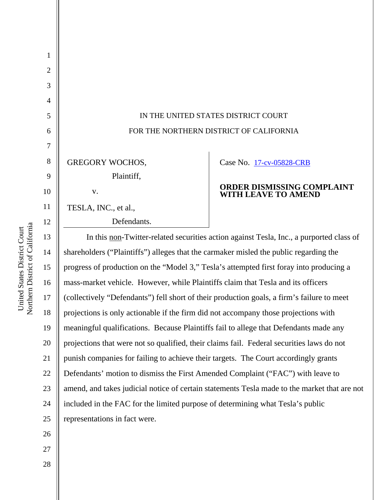| 1              |                                                                                              |                                                                 |
|----------------|----------------------------------------------------------------------------------------------|-----------------------------------------------------------------|
| $\overline{2}$ |                                                                                              |                                                                 |
| 3              |                                                                                              |                                                                 |
| 4              |                                                                                              |                                                                 |
| 5              | IN THE UNITED STATES DISTRICT COURT                                                          |                                                                 |
| 6              | FOR THE NORTHERN DISTRICT OF CALIFORNIA                                                      |                                                                 |
| 7              |                                                                                              |                                                                 |
| 8              | <b>GREGORY WOCHOS,</b>                                                                       | Case No. 17-cv-05828-CRB                                        |
| 9              | Plaintiff,                                                                                   |                                                                 |
| 10             | V.                                                                                           | <b>ORDER DISMISSING COMPLAINT</b><br><b>WITH LEAVE TO AMEND</b> |
| 11             | TESLA, INC., et al.,                                                                         |                                                                 |
| 12             | Defendants.                                                                                  |                                                                 |
| 13             | In this non-Twitter-related securities action against Tesla, Inc., a purported class of      |                                                                 |
| 14             | shareholders ("Plaintiffs") alleges that the carmaker misled the public regarding the        |                                                                 |
| 15             | progress of production on the "Model 3," Tesla's attempted first foray into producing a      |                                                                 |
| 16             | mass-market vehicle. However, while Plaintiffs claim that Tesla and its officers             |                                                                 |
| 17             | (collectively "Defendants") fell short of their production goals, a firm's failure to meet   |                                                                 |
| 18             | projections is only actionable if the firm did not accompany those projections with          |                                                                 |
| 19             | meaningful qualifications. Because Plaintiffs fail to allege that Defendants made any        |                                                                 |
| 20             | projections that were not so qualified, their claims fail. Federal securities laws do not    |                                                                 |
| 21             | punish companies for failing to achieve their targets. The Court accordingly grants          |                                                                 |
| 22             | Defendants' motion to dismiss the First Amended Complaint ("FAC") with leave to              |                                                                 |
| 23             | amend, and takes judicial notice of certain statements Tesla made to the market that are not |                                                                 |
| 24             | included in the FAC for the limited purpose of determining what Tesla's public               |                                                                 |
| 25             | representations in fact were.                                                                |                                                                 |
| 26             |                                                                                              |                                                                 |

United States District Court Northern District of Californi a

27

28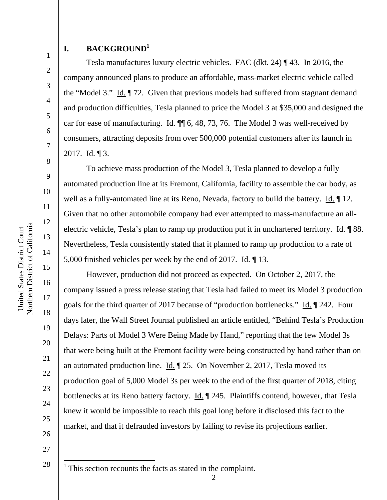1 2 3

4

5

6

7

8

9

10

11

12

13

14

15

16

17

18

19

20

21

22

23

24

25

26

27

28

# **I. BACKGROUND1**

Tesla manufactures luxury electric vehicles. FAC (dkt. 24) ¶ 43. In 2016, the company announced plans to produce an affordable, mass-market electric vehicle called the "Model 3." Id. ¶ 72. Given that previous models had suffered from stagnant demand and production difficulties, Tesla planned to price the Model 3 at \$35,000 and designed the car for ease of manufacturing. Id.  $\P$  6, 48, 73, 76. The Model 3 was well-received by consumers, attracting deposits from over 500,000 potential customers after its launch in 2017. Id. ¶ 3.

To achieve mass production of the Model 3, Tesla planned to develop a fully automated production line at its Fremont, California, facility to assemble the car body, as well as a fully-automated line at its Reno, Nevada, factory to build the battery. Id. 12. Given that no other automobile company had ever attempted to mass-manufacture an allelectric vehicle, Tesla's plan to ramp up production put it in unchartered territory. Id. 188. Nevertheless, Tesla consistently stated that it planned to ramp up production to a rate of 5,000 finished vehicles per week by the end of 2017. Id. 13.

However, production did not proceed as expected. On October 2, 2017, the company issued a press release stating that Tesla had failed to meet its Model 3 production goals for the third quarter of 2017 because of "production bottlenecks." Id. ¶ 242. Four days later, the Wall Street Journal published an article entitled, "Behind Tesla's Production Delays: Parts of Model 3 Were Being Made by Hand," reporting that the few Model 3s that were being built at the Fremont facility were being constructed by hand rather than on an automated production line.  $\underline{Id}$ .  $\P$  25. On November 2, 2017, Tesla moved its production goal of 5,000 Model 3s per week to the end of the first quarter of 2018, citing bottlenecks at its Reno battery factory. Id. ¶ 245. Plaintiffs contend, however, that Tesla knew it would be impossible to reach this goal long before it disclosed this fact to the market, and that it defrauded investors by failing to revise its projections earlier.

<sup>&</sup>lt;sup>1</sup> This section recounts the facts as stated in the complaint.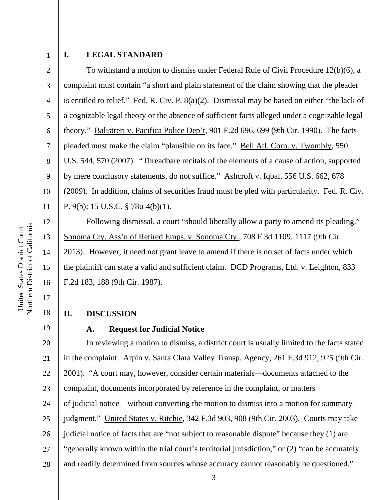3

4

5

6

7

8

9

10

11

12

13

14

15

16

17

18

19

#### **I. LEGAL STANDARD**

To withstand a motion to dismiss under Federal Rule of Civil Procedure 12(b)(6), a complaint must contain "a short and plain statement of the claim showing that the pleader is entitled to relief." Fed. R. Civ. P. 8(a)(2). Dismissal may be based on either "the lack of a cognizable legal theory or the absence of sufficient facts alleged under a cognizable legal theory." Balistreri v. Pacifica Police Dep't, 901 F.2d 696, 699 (9th Cir. 1990). The facts pleaded must make the claim "plausible on its face." Bell Atl. Corp. v. Twombly, 550 U.S. 544, 570 (2007). "Threadbare recitals of the elements of a cause of action, supported by mere conclusory statements, do not suffice." Ashcroft v. Iqbal, 556 U.S. 662, 678 (2009). In addition, claims of securities fraud must be pled with particularity. Fed. R. Civ. P. 9(b); 15 U.S.C. § 78u-4(b)(1).

Following dismissal, a court "should liberally allow a party to amend its pleading." Sonoma Cty. Ass'n of Retired Emps. v. Sonoma Cty., 708 F.3d 1109, 1117 (9th Cir. 2013). However, it need not grant leave to amend if there is no set of facts under which the plaintiff can state a valid and sufficient claim. DCD Programs, Ltd. v. Leighton, 833 F.2d 183, 188 (9th Cir. 1987).

#### **II. DISCUSSION**

**A. Request for Judicial Notice** 

20 21 22 23 24 25 26 27 28 In reviewing a motion to dismiss, a district court is usually limited to the facts stated in the complaint. Arpin v. Santa Clara Valley Transp. Agency, 261 F.3d 912, 925 (9th Cir. 2001). "A court may, however, consider certain materials—documents attached to the complaint, documents incorporated by reference in the complaint, or matters of judicial notice—without converting the motion to dismiss into a motion for summary judgment." United States v. Ritchie, 342 F.3d 903, 908 (9th Cir. 2003). Courts may take judicial notice of facts that are "not subject to reasonable dispute" because they (1) are "generally known within the trial court's territorial jurisdiction," or (2) "can be accurately and readily determined from sources whose accuracy cannot reasonably be questioned."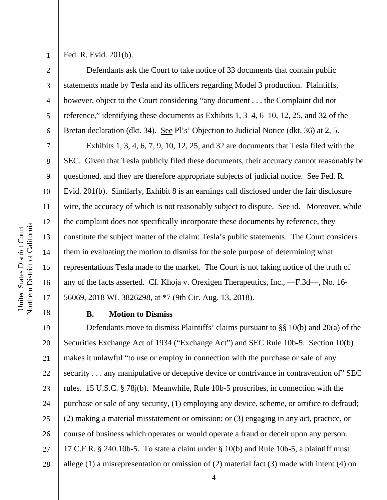3

4

5

6

7

8

9

10

11

12

13

14

15

16

17

18

Fed. R. Evid. 201(b).

Defendants ask the Court to take notice of 33 documents that contain public statements made by Tesla and its officers regarding Model 3 production. Plaintiffs, however, object to the Court considering "any document . . . the Complaint did not reference," identifying these documents as Exhibits 1, 3–4, 6–10, 12, 25, and 32 of the Bretan declaration (dkt. 34). <u>See</u> Pl's' Objection to Judicial Notice (dkt. 36) at 2, 5.

Exhibits 1, 3, 4, 6, 7, 9, 10, 12, 25, and 32 are documents that Tesla filed with the SEC. Given that Tesla publicly filed these documents, their accuracy cannot reasonably be questioned, and they are therefore appropriate subjects of judicial notice. See Fed. R. Evid. 201(b). Similarly, Exhibit 8 is an earnings call disclosed under the fair disclosure wire, the accuracy of which is not reasonably subject to dispute. See id. Moreover, while the complaint does not specifically incorporate these documents by reference, they constitute the subject matter of the claim: Tesla's public statements. The Court considers them in evaluating the motion to dismiss for the sole purpose of determining what representations Tesla made to the market. The Court is not taking notice of the truth of any of the facts asserted. Cf. Khoja v. Orexigen Therapeutics, Inc., —F.3d—, No. 16- 56069, 2018 WL 3826298, at \*7 (9th Cir. Aug. 13, 2018).

# **B. Motion to Dismiss**

19 20 21 22 23 24 25 26 27 28 Defendants move to dismiss Plaintiffs' claims pursuant to §§ 10(b) and 20(a) of the Securities Exchange Act of 1934 ("Exchange Act") and SEC Rule 10b-5. Section 10(b) makes it unlawful "to use or employ in connection with the purchase or sale of any security . . . any manipulative or deceptive device or contrivance in contravention of" SEC rules. 15 U.S.C. § 78j(b). Meanwhile, Rule 10b-5 proscribes, in connection with the purchase or sale of any security, (1) employing any device, scheme, or artifice to defraud; (2) making a material misstatement or omission; or (3) engaging in any act, practice, or course of business which operates or would operate a fraud or deceit upon any person. 17 C.F.R. § 240.10b-5. To state a claim under § 10(b) and Rule 10b-5, a plaintiff must allege (1) a misrepresentation or omission of (2) material fact (3) made with intent (4) on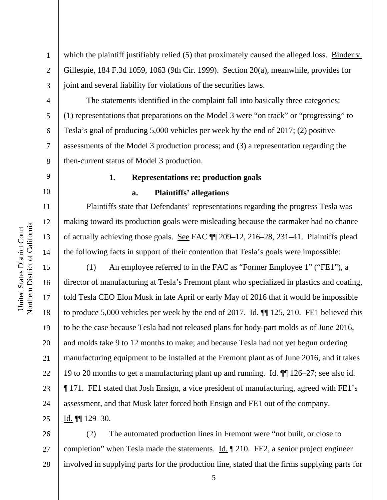which the plaintiff justifiably relied (5) that proximately caused the alleged loss. Binder v. Gillespie, 184 F.3d 1059, 1063 (9th Cir. 1999). Section 20(a), meanwhile, provides for joint and several liability for violations of the securities laws.

The statements identified in the complaint fall into basically three categories: (1) representations that preparations on the Model 3 were "on track" or "progressing" to Tesla's goal of producing 5,000 vehicles per week by the end of 2017; (2) positive assessments of the Model 3 production process; and (3) a representation regarding the then-current status of Model 3 production.

## **1. Representations re: production goals**

#### **a. Plaintiffs' allegations**

Plaintiffs state that Defendants' representations regarding the progress Tesla was making toward its production goals were misleading because the carmaker had no chance of actually achieving those goals. See FAC ¶¶ 209–12, 216–28, 231–41. Plaintiffs plead the following facts in support of their contention that Tesla's goals were impossible:

(1) An employee referred to in the FAC as "Former Employee 1" ("FE1"), a director of manufacturing at Tesla's Fremont plant who specialized in plastics and coating, told Tesla CEO Elon Musk in late April or early May of 2016 that it would be impossible to produce 5,000 vehicles per week by the end of 2017. Id. ¶¶ 125, 210. FE1 believed this to be the case because Tesla had not released plans for body-part molds as of June 2016, and molds take 9 to 12 months to make; and because Tesla had not yet begun ordering manufacturing equipment to be installed at the Fremont plant as of June 2016, and it takes 19 to 20 months to get a manufacturing plant up and running. Id. ¶¶ 126–27; see also id. ¶ 171. FE1 stated that Josh Ensign, a vice president of manufacturing, agreed with FE1's assessment, and that Musk later forced both Ensign and FE1 out of the company. Id. ¶¶ 129–30.

26 27 28 (2) The automated production lines in Fremont were "not built, or close to completion" when Tesla made the statements.  $\underline{Id}$ .  $\P$  210. FE2, a senior project engineer involved in supplying parts for the production line, stated that the firms supplying parts for

1

2

3

4

5

6

7

8

9

10

11

12

13

14

15

16

17

18

19

20

21

22

23

24

25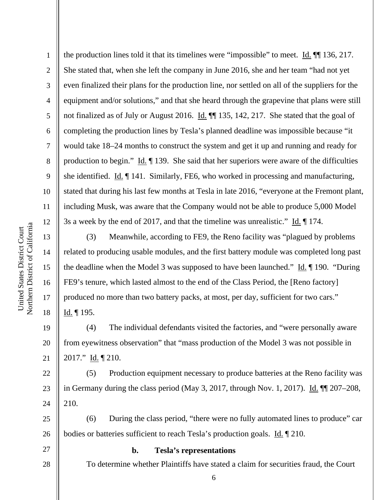14

15

16

17

18

1 2 3 4 5 6 7 8 9 10 11 12 the production lines told it that its timelines were "impossible" to meet. Id. ¶¶ 136, 217. She stated that, when she left the company in June 2016, she and her team "had not yet even finalized their plans for the production line, nor settled on all of the suppliers for the equipment and/or solutions," and that she heard through the grapevine that plans were still not finalized as of July or August 2016. Id.  $\blacksquare$  135, 142, 217. She stated that the goal of completing the production lines by Tesla's planned deadline was impossible because "it would take 18–24 months to construct the system and get it up and running and ready for production to begin." Id.  $\parallel$  139. She said that her superiors were aware of the difficulties she identified. Id. | 141. Similarly, FE6, who worked in processing and manufacturing, stated that during his last few months at Tesla in late 2016, "everyone at the Fremont plant, including Musk, was aware that the Company would not be able to produce 5,000 Model 3s a week by the end of 2017, and that the timeline was unrealistic." Id. 174.

(3) Meanwhile, according to FE9, the Reno facility was "plagued by problems related to producing usable modules, and the first battery module was completed long past the deadline when the Model 3 was supposed to have been launched."  $\underline{Id}$ . [190. "During FE9's tenure, which lasted almost to the end of the Class Period, the [Reno factory] produced no more than two battery packs, at most, per day, sufficient for two cars." Id. ¶ 195.

19 20 21 (4) The individual defendants visited the factories, and "were personally aware from eyewitness observation" that "mass production of the Model 3 was not possible in 2017." Id. ¶ 210.

22 23 24 (5) Production equipment necessary to produce batteries at the Reno facility was in Germany during the class period (May 3, 2017, through Nov. 1, 2017). Id.  $\P$  207–208, 210.

25 26 (6) During the class period, "there were no fully automated lines to produce" car bodies or batteries sufficient to reach Tesla's production goals. Id. ¶ 210.

27 28

## **b. Tesla's representations**

To determine whether Plaintiffs have stated a claim for securities fraud, the Court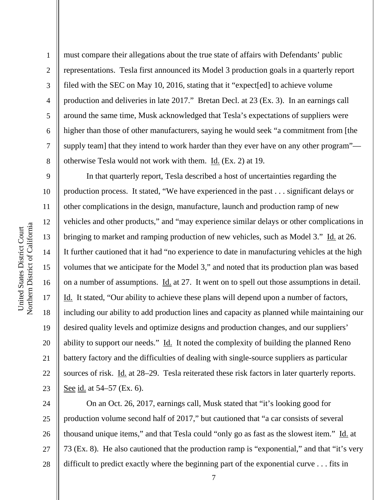a United States District Court United States District Court Northern District of Californi

1

2

3

4

5

6

7

8

9

10

11

12

13

14

15

17

18

19

21

23

must compare their allegations about the true state of affairs with Defendants' public representations. Tesla first announced its Model 3 production goals in a quarterly report filed with the SEC on May 10, 2016, stating that it "expect[ed] to achieve volume production and deliveries in late 2017." Bretan Decl. at 23 (Ex. 3). In an earnings call around the same time, Musk acknowledged that Tesla's expectations of suppliers were higher than those of other manufacturers, saying he would seek "a commitment from [the supply team] that they intend to work harder than they ever have on any other program" otherwise Tesla would not work with them. Id. (Ex. 2) at 19.

16 20 22 In that quarterly report, Tesla described a host of uncertainties regarding the production process. It stated, "We have experienced in the past . . . significant delays or other complications in the design, manufacture, launch and production ramp of new vehicles and other products," and "may experience similar delays or other complications in bringing to market and ramping production of new vehicles, such as Model 3." Id. at 26. It further cautioned that it had "no experience to date in manufacturing vehicles at the high volumes that we anticipate for the Model 3," and noted that its production plan was based on a number of assumptions. Id. at 27. It went on to spell out those assumptions in detail. Id. It stated, "Our ability to achieve these plans will depend upon a number of factors, including our ability to add production lines and capacity as planned while maintaining our desired quality levels and optimize designs and production changes, and our suppliers' ability to support our needs." Id. It noted the complexity of building the planned Reno battery factory and the difficulties of dealing with single-source suppliers as particular sources of risk. Id. at 28–29. Tesla reiterated these risk factors in later quarterly reports. See <u>id.</u> at 54–57 (Ex. 6).

24 25 26 27 28 On an Oct. 26, 2017, earnings call, Musk stated that "it's looking good for production volume second half of 2017," but cautioned that "a car consists of several thousand unique items," and that Tesla could "only go as fast as the slowest item." Id. at 73 (Ex. 8). He also cautioned that the production ramp is "exponential," and that "it's very difficult to predict exactly where the beginning part of the exponential curve . . . fits in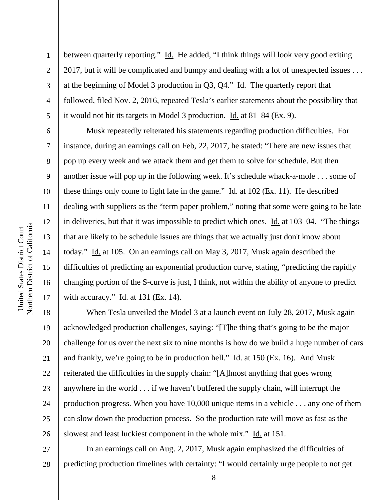2

3

4

5

6

7

8

9

10

11

12

13

14

15

16

17

18

19

20

21

23

24

25

between quarterly reporting." Id. He added, "I think things will look very good exiting 2017, but it will be complicated and bumpy and dealing with a lot of unexpected issues . . . at the beginning of Model 3 production in Q3, Q4." Id. The quarterly report that followed, filed Nov. 2, 2016, repeated Tesla's earlier statements about the possibility that it would not hit its targets in Model 3 production. Id. at 81–84 (Ex. 9).

Musk repeatedly reiterated his statements regarding production difficulties. For instance, during an earnings call on Feb, 22, 2017, he stated: "There are new issues that pop up every week and we attack them and get them to solve for schedule. But then another issue will pop up in the following week. It's schedule whack-a-mole . . . some of these things only come to light late in the game." Id. at 102 (Ex. 11). He described dealing with suppliers as the "term paper problem," noting that some were going to be late in deliveries, but that it was impossible to predict which ones.  $\underline{Id}$  at 103–04. "The things that are likely to be schedule issues are things that we actually just don't know about today." Id. at 105. On an earnings call on May 3, 2017, Musk again described the difficulties of predicting an exponential production curve, stating, "predicting the rapidly changing portion of the S-curve is just, I think, not within the ability of anyone to predict with accuracy."  $\underline{Id}$ . at 131 (Ex. 14).

22 26 When Tesla unveiled the Model 3 at a launch event on July 28, 2017, Musk again acknowledged production challenges, saying: "[T]he thing that's going to be the major challenge for us over the next six to nine months is how do we build a huge number of cars and frankly, we're going to be in production hell." Id. at 150 (Ex. 16). And Musk reiterated the difficulties in the supply chain: "[A]lmost anything that goes wrong anywhere in the world . . . if we haven't buffered the supply chain, will interrupt the production progress. When you have 10,000 unique items in a vehicle . . . any one of them can slow down the production process. So the production rate will move as fast as the slowest and least luckiest component in the whole mix." Id. at 151.

27 28 In an earnings call on Aug. 2, 2017, Musk again emphasized the difficulties of predicting production timelines with certainty: "I would certainly urge people to not get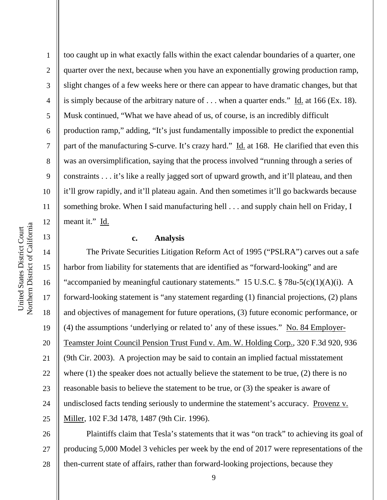14

15

16

17

18

19

20

21

22

23

24

25

1

2 3 4 5 6 7 8 9 10 11 12 too caught up in what exactly falls within the exact calendar boundaries of a quarter, one quarter over the next, because when you have an exponentially growing production ramp, slight changes of a few weeks here or there can appear to have dramatic changes, but that is simply because of the arbitrary nature of  $\dots$  when a quarter ends." Id. at 166 (Ex. 18). Musk continued, "What we have ahead of us, of course, is an incredibly difficult production ramp," adding, "It's just fundamentally impossible to predict the exponential part of the manufacturing S-curve. It's crazy hard." Id. at 168. He clarified that even this was an oversimplification, saying that the process involved "running through a series of constraints . . . it's like a really jagged sort of upward growth, and it'll plateau, and then it'll grow rapidly, and it'll plateau again. And then sometimes it'll go backwards because something broke. When I said manufacturing hell . . . and supply chain hell on Friday, I meant it." Id.

# **c. Analysis**

The Private Securities Litigation Reform Act of 1995 ("PSLRA") carves out a safe harbor from liability for statements that are identified as "forward-looking" and are "accompanied by meaningful cautionary statements." 15 U.S.C. § 78u-5(c)(1)(A)(i). A forward-looking statement is "any statement regarding (1) financial projections, (2) plans and objectives of management for future operations, (3) future economic performance, or (4) the assumptions 'underlying or related to' any of these issues." No. 84 Employer-Teamster Joint Council Pension Trust Fund v. Am. W. Holding Corp., 320 F.3d 920, 936 (9th Cir. 2003). A projection may be said to contain an implied factual misstatement where (1) the speaker does not actually believe the statement to be true, (2) there is no reasonable basis to believe the statement to be true, or (3) the speaker is aware of undisclosed facts tending seriously to undermine the statement's accuracy. Provenz v. Miller, 102 F.3d 1478, 1487 (9th Cir. 1996).

26 27 28 Plaintiffs claim that Tesla's statements that it was "on track" to achieving its goal of producing 5,000 Model 3 vehicles per week by the end of 2017 were representations of the then-current state of affairs, rather than forward-looking projections, because they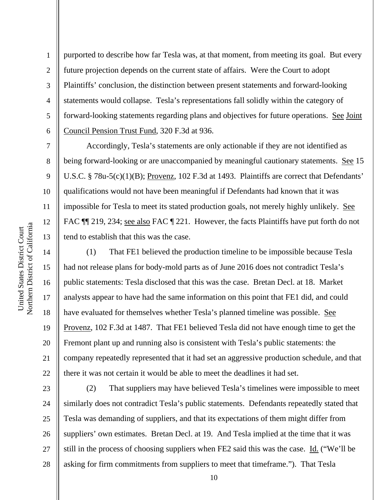a United States District Court United States District Court Northern District of Californi

1

2

3

4

5

6

7

8

9

10

11

12

13

14

15

16

17

18

19

20

21

22

purported to describe how far Tesla was, at that moment, from meeting its goal. But every future projection depends on the current state of affairs. Were the Court to adopt Plaintiffs' conclusion, the distinction between present statements and forward-looking statements would collapse. Tesla's representations fall solidly within the category of forward-looking statements regarding plans and objectives for future operations. See Joint Council Pension Trust Fund, 320 F.3d at 936.

Accordingly, Tesla's statements are only actionable if they are not identified as being forward-looking or are unaccompanied by meaningful cautionary statements. See 15 U.S.C. § 78u-5(c)(1)(B); Provenz, 102 F.3d at 1493. Plaintiffs are correct that Defendants' qualifications would not have been meaningful if Defendants had known that it was impossible for Tesla to meet its stated production goals, not merely highly unlikely. See FAC  $\P$  219, 234; see also FAC  $\P$  221. However, the facts Plaintiffs have put forth do not tend to establish that this was the case.

(1) That FE1 believed the production timeline to be impossible because Tesla had not release plans for body-mold parts as of June 2016 does not contradict Tesla's public statements: Tesla disclosed that this was the case. Bretan Decl. at 18. Market analysts appear to have had the same information on this point that FE1 did, and could have evaluated for themselves whether Tesla's planned timeline was possible. See Provenz, 102 F.3d at 1487. That FE1 believed Tesla did not have enough time to get the Fremont plant up and running also is consistent with Tesla's public statements: the company repeatedly represented that it had set an aggressive production schedule, and that there it was not certain it would be able to meet the deadlines it had set.

23 24 25 26 27 28 (2) That suppliers may have believed Tesla's timelines were impossible to meet similarly does not contradict Tesla's public statements. Defendants repeatedly stated that Tesla was demanding of suppliers, and that its expectations of them might differ from suppliers' own estimates. Bretan Decl. at 19. And Tesla implied at the time that it was still in the process of choosing suppliers when FE2 said this was the case. Id. ("We'll be asking for firm commitments from suppliers to meet that timeframe."). That Tesla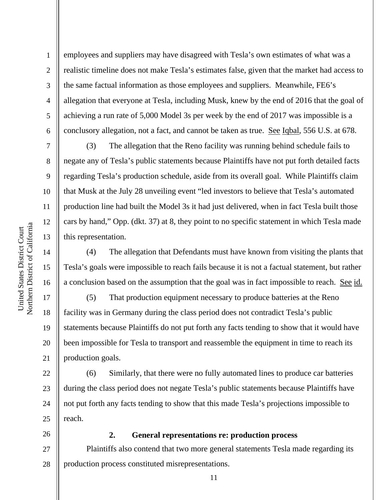2

3

4

5

6

7

8

9

10

11

12

13

14

15

16

17

18

19

20

21

employees and suppliers may have disagreed with Tesla's own estimates of what was a realistic timeline does not make Tesla's estimates false, given that the market had access to the same factual information as those employees and suppliers. Meanwhile, FE6's allegation that everyone at Tesla, including Musk, knew by the end of 2016 that the goal of achieving a run rate of 5,000 Model 3s per week by the end of 2017 was impossible is a conclusory allegation, not a fact, and cannot be taken as true. See Iqbal, 556 U.S. at 678.

(3) The allegation that the Reno facility was running behind schedule fails to negate any of Tesla's public statements because Plaintiffs have not put forth detailed facts regarding Tesla's production schedule, aside from its overall goal. While Plaintiffs claim that Musk at the July 28 unveiling event "led investors to believe that Tesla's automated production line had built the Model 3s it had just delivered, when in fact Tesla built those cars by hand," Opp. (dkt. 37) at 8, they point to no specific statement in which Tesla made this representation.

(4) The allegation that Defendants must have known from visiting the plants that Tesla's goals were impossible to reach fails because it is not a factual statement, but rather a conclusion based on the assumption that the goal was in fact impossible to reach. See id.

 (5) That production equipment necessary to produce batteries at the Reno facility was in Germany during the class period does not contradict Tesla's public statements because Plaintiffs do not put forth any facts tending to show that it would have been impossible for Tesla to transport and reassemble the equipment in time to reach its production goals.

22 23 24 25 (6) Similarly, that there were no fully automated lines to produce car batteries during the class period does not negate Tesla's public statements because Plaintiffs have not put forth any facts tending to show that this made Tesla's projections impossible to reach.

26

# **2. General representations re: production process**

27 28 Plaintiffs also contend that two more general statements Tesla made regarding its production process constituted misrepresentations.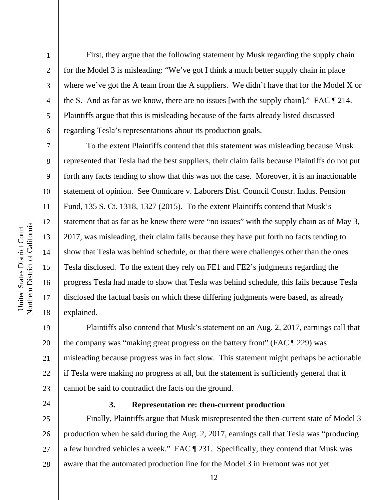a United States District Court United States District Court Northern District of Californi

1

2

3

4

5

6

7

8

9

10

11

12

13

14

15

16

17

18

First, they argue that the following statement by Musk regarding the supply chain for the Model 3 is misleading: "We've got I think a much better supply chain in place where we've got the A team from the A suppliers. We didn't have that for the Model X or the S. And as far as we know, there are no issues [with the supply chain]." FAC ¶ 214. Plaintiffs argue that this is misleading because of the facts already listed discussed regarding Tesla's representations about its production goals.

To the extent Plaintiffs contend that this statement was misleading because Musk represented that Tesla had the best suppliers, their claim fails because Plaintiffs do not put forth any facts tending to show that this was not the case. Moreover, it is an inactionable statement of opinion. See Omnicare v. Laborers Dist. Council Constr. Indus. Pension Fund, 135 S. Ct. 1318, 1327 (2015). To the extent Plaintiffs contend that Musk's statement that as far as he knew there were "no issues" with the supply chain as of May 3, 2017, was misleading, their claim fails because they have put forth no facts tending to show that Tesla was behind schedule, or that there were challenges other than the ones Tesla disclosed. To the extent they rely on FE1 and FE2's judgments regarding the progress Tesla had made to show that Tesla was behind schedule, this fails because Tesla disclosed the factual basis on which these differing judgments were based, as already explained.

19 20 21 22 23 Plaintiffs also contend that Musk's statement on an Aug. 2, 2017, earnings call that the company was "making great progress on the battery front" (FAC ¶ 229) was misleading because progress was in fact slow. This statement might perhaps be actionable if Tesla were making no progress at all, but the statement is sufficiently general that it cannot be said to contradict the facts on the ground.

24

### **3. Representation re: then-current production**

25 26 27 28 Finally, Plaintiffs argue that Musk misrepresented the then-current state of Model 3 production when he said during the Aug. 2, 2017, earnings call that Tesla was "producing a few hundred vehicles a week." FAC ¶ 231. Specifically, they contend that Musk was aware that the automated production line for the Model 3 in Fremont was not yet